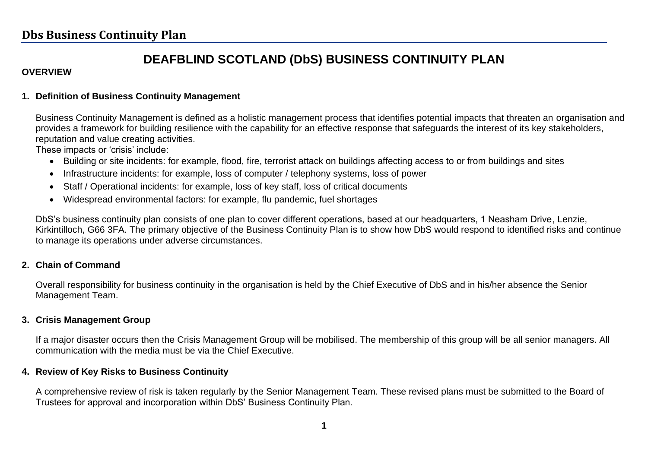#### **DEAFBLIND SCOTLAND (DbS) BUSINESS CONTINUITY PLAN**

#### **OVERVIEW**

#### **1. Definition of Business Continuity Management**

Business Continuity Management is defined as a holistic management process that identifies potential impacts that threaten an organisation and provides a framework for building resilience with the capability for an effective response that safeguards the interest of its key stakeholders, reputation and value creating activities.

These impacts or 'crisis' include:

- Building or site incidents: for example, flood, fire, terrorist attack on buildings affecting access to or from buildings and sites
- Infrastructure incidents: for example, loss of computer / telephony systems, loss of power
- Staff / Operational incidents: for example, loss of key staff, loss of critical documents
- Widespread environmental factors: for example, flu pandemic, fuel shortages

DbS's business continuity plan consists of one plan to cover different operations, based at our headquarters, 1 Neasham Drive, Lenzie, Kirkintilloch, G66 3FA. The primary objective of the Business Continuity Plan is to show how DbS would respond to identified risks and continue to manage its operations under adverse circumstances.

#### **2. Chain of Command**

Overall responsibility for business continuity in the organisation is held by the Chief Executive of DbS and in his/her absence the Senior Management Team.

#### **3. Crisis Management Group**

If a major disaster occurs then the Crisis Management Group will be mobilised. The membership of this group will be all senior managers. All communication with the media must be via the Chief Executive.

#### **4. Review of Key Risks to Business Continuity**

A comprehensive review of risk is taken regularly by the Senior Management Team. These revised plans must be submitted to the Board of Trustees for approval and incorporation within DbS' Business Continuity Plan.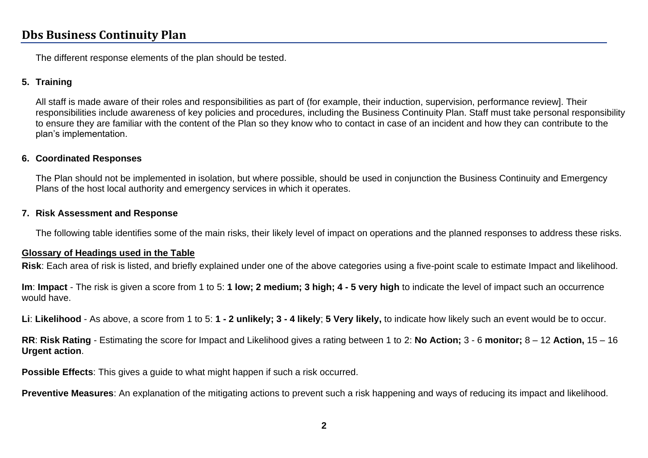The different response elements of the plan should be tested.

#### **5. Training**

All staff is made aware of their roles and responsibilities as part of (for example, their induction, supervision, performance review]. Their responsibilities include awareness of key policies and procedures, including the Business Continuity Plan. Staff must take personal responsibility to ensure they are familiar with the content of the Plan so they know who to contact in case of an incident and how they can contribute to the plan's implementation.

#### **6. Coordinated Responses**

The Plan should not be implemented in isolation, but where possible, should be used in conjunction the Business Continuity and Emergency Plans of the host local authority and emergency services in which it operates.

#### **7. Risk Assessment and Response**

The following table identifies some of the main risks, their likely level of impact on operations and the planned responses to address these risks.

#### **Glossary of Headings used in the Table**

**Risk**: Each area of risk is listed, and briefly explained under one of the above categories using a five-point scale to estimate Impact and likelihood.

**Im**: **Impact** - The risk is given a score from 1 to 5: **1 low; 2 medium; 3 high; 4 - 5 very high** to indicate the level of impact such an occurrence would have.

**Li**: **Likelihood** - As above, a score from 1 to 5: **1 - 2 unlikely; 3 - 4 likely**; **5 Very likely,** to indicate how likely such an event would be to occur.

**RR**: **Risk Rating** - Estimating the score for Impact and Likelihood gives a rating between 1 to 2: **No Action;** 3 - 6 **monitor;** 8 – 12 **Action,** 15 – 16 **Urgent action**.

**Possible Effects**: This gives a guide to what might happen if such a risk occurred.

**Preventive Measures**: An explanation of the mitigating actions to prevent such a risk happening and ways of reducing its impact and likelihood.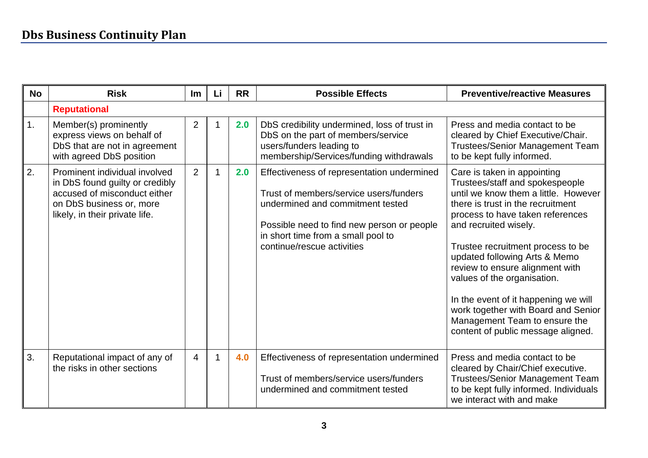| <b>No</b> | <b>Risk</b>                                                                                                                                                    | <b>Im</b>      | Li | <b>RR</b> | <b>Possible Effects</b>                                                                                                                                                                                                                    | <b>Preventive/reactive Measures</b>                                                                                                                                                                                                                                                                                                                                                                                                                                                                    |
|-----------|----------------------------------------------------------------------------------------------------------------------------------------------------------------|----------------|----|-----------|--------------------------------------------------------------------------------------------------------------------------------------------------------------------------------------------------------------------------------------------|--------------------------------------------------------------------------------------------------------------------------------------------------------------------------------------------------------------------------------------------------------------------------------------------------------------------------------------------------------------------------------------------------------------------------------------------------------------------------------------------------------|
|           | <b>Reputational</b>                                                                                                                                            |                |    |           |                                                                                                                                                                                                                                            |                                                                                                                                                                                                                                                                                                                                                                                                                                                                                                        |
| 1.        | Member(s) prominently<br>express views on behalf of<br>DbS that are not in agreement<br>with agreed DbS position                                               | 2              |    | 2.0       | DbS credibility undermined, loss of trust in<br>DbS on the part of members/service<br>users/funders leading to<br>membership/Services/funding withdrawals                                                                                  | Press and media contact to be<br>cleared by Chief Executive/Chair.<br><b>Trustees/Senior Management Team</b><br>to be kept fully informed.                                                                                                                                                                                                                                                                                                                                                             |
| 2.        | Prominent individual involved<br>in DbS found guilty or credibly<br>accused of misconduct either<br>on DbS business or, more<br>likely, in their private life. | 2              | 1  | 2.0       | Effectiveness of representation undermined<br>Trust of members/service users/funders<br>undermined and commitment tested<br>Possible need to find new person or people<br>in short time from a small pool to<br>continue/rescue activities | Care is taken in appointing<br>Trustees/staff and spokespeople<br>until we know them a little. However<br>there is trust in the recruitment<br>process to have taken references<br>and recruited wisely.<br>Trustee recruitment process to be<br>updated following Arts & Memo<br>review to ensure alignment with<br>values of the organisation.<br>In the event of it happening we will<br>work together with Board and Senior<br>Management Team to ensure the<br>content of public message aligned. |
| 3.        | Reputational impact of any of<br>the risks in other sections                                                                                                   | $\overline{4}$ |    | 4.0       | Effectiveness of representation undermined<br>Trust of members/service users/funders<br>undermined and commitment tested                                                                                                                   | Press and media contact to be<br>cleared by Chair/Chief executive.<br><b>Trustees/Senior Management Team</b><br>to be kept fully informed. Individuals<br>we interact with and make                                                                                                                                                                                                                                                                                                                    |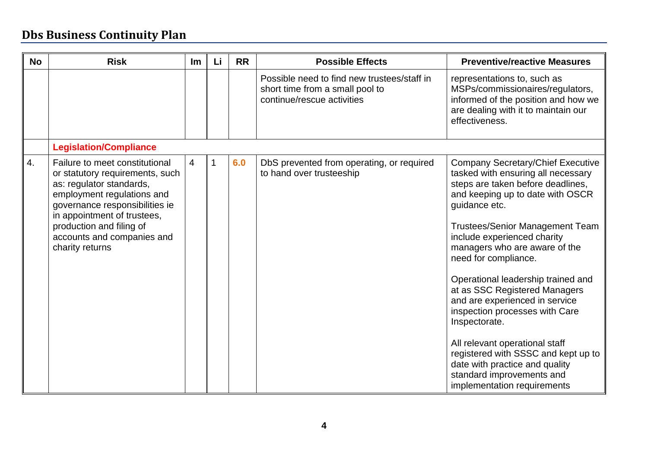| <b>No</b> | <b>Risk</b>                                                                                                                                                                                                                                                               | Im             | Li | <b>RR</b> | <b>Possible Effects</b>                                                                                      | <b>Preventive/reactive Measures</b>                                                                                                                                                                                                                                                                                                                                                                                                                                                                                                                                                                                                           |
|-----------|---------------------------------------------------------------------------------------------------------------------------------------------------------------------------------------------------------------------------------------------------------------------------|----------------|----|-----------|--------------------------------------------------------------------------------------------------------------|-----------------------------------------------------------------------------------------------------------------------------------------------------------------------------------------------------------------------------------------------------------------------------------------------------------------------------------------------------------------------------------------------------------------------------------------------------------------------------------------------------------------------------------------------------------------------------------------------------------------------------------------------|
|           |                                                                                                                                                                                                                                                                           |                |    |           | Possible need to find new trustees/staff in<br>short time from a small pool to<br>continue/rescue activities | representations to, such as<br>MSPs/commissionaires/regulators,<br>informed of the position and how we<br>are dealing with it to maintain our<br>effectiveness.                                                                                                                                                                                                                                                                                                                                                                                                                                                                               |
|           | <b>Legislation/Compliance</b>                                                                                                                                                                                                                                             |                |    |           |                                                                                                              |                                                                                                                                                                                                                                                                                                                                                                                                                                                                                                                                                                                                                                               |
| 4.        | Failure to meet constitutional<br>or statutory requirements, such<br>as: regulator standards,<br>employment regulations and<br>governance responsibilities ie<br>in appointment of trustees,<br>production and filing of<br>accounts and companies and<br>charity returns | $\overline{4}$ |    | 6.0       | DbS prevented from operating, or required<br>to hand over trusteeship                                        | <b>Company Secretary/Chief Executive</b><br>tasked with ensuring all necessary<br>steps are taken before deadlines,<br>and keeping up to date with OSCR<br>guidance etc.<br><b>Trustees/Senior Management Team</b><br>include experienced charity<br>managers who are aware of the<br>need for compliance.<br>Operational leadership trained and<br>at as SSC Registered Managers<br>and are experienced in service<br>inspection processes with Care<br>Inspectorate.<br>All relevant operational staff<br>registered with SSSC and kept up to<br>date with practice and quality<br>standard improvements and<br>implementation requirements |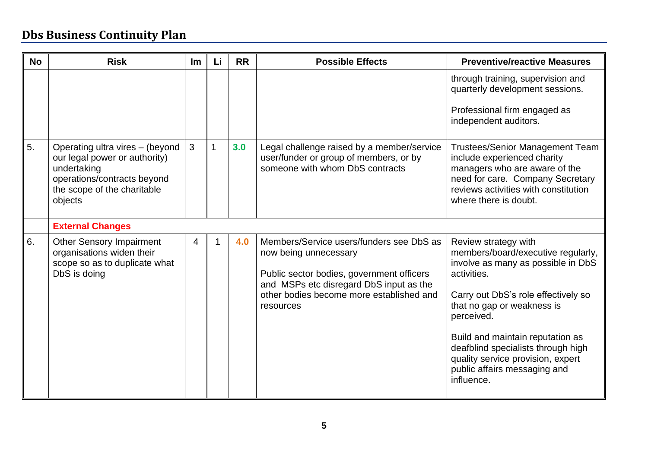| <b>No</b> | <b>Risk</b>                                                                                                                                              | <u>Im</u> | Li             | <b>RR</b> | <b>Possible Effects</b>                                                                                                                                                                                            | <b>Preventive/reactive Measures</b>                                                                                                                                                                                                                                                                                                                             |
|-----------|----------------------------------------------------------------------------------------------------------------------------------------------------------|-----------|----------------|-----------|--------------------------------------------------------------------------------------------------------------------------------------------------------------------------------------------------------------------|-----------------------------------------------------------------------------------------------------------------------------------------------------------------------------------------------------------------------------------------------------------------------------------------------------------------------------------------------------------------|
|           |                                                                                                                                                          |           |                |           |                                                                                                                                                                                                                    | through training, supervision and<br>quarterly development sessions.<br>Professional firm engaged as<br>independent auditors.                                                                                                                                                                                                                                   |
| 5.        | Operating ultra vires - (beyond<br>our legal power or authority)<br>undertaking<br>operations/contracts beyond<br>the scope of the charitable<br>objects | 3         | $\overline{1}$ | 3.0       | Legal challenge raised by a member/service<br>user/funder or group of members, or by<br>someone with whom DbS contracts                                                                                            | Trustees/Senior Management Team<br>include experienced charity<br>managers who are aware of the<br>need for care. Company Secretary<br>reviews activities with constitution<br>where there is doubt.                                                                                                                                                            |
|           | <b>External Changes</b>                                                                                                                                  |           |                |           |                                                                                                                                                                                                                    |                                                                                                                                                                                                                                                                                                                                                                 |
| 6.        | <b>Other Sensory Impairment</b><br>organisations widen their<br>scope so as to duplicate what<br>DbS is doing                                            | 4         |                | 4.0       | Members/Service users/funders see DbS as<br>now being unnecessary<br>Public sector bodies, government officers<br>and MSPs etc disregard DbS input as the<br>other bodies become more established and<br>resources | Review strategy with<br>members/board/executive regularly,<br>involve as many as possible in DbS<br>activities.<br>Carry out DbS's role effectively so<br>that no gap or weakness is<br>perceived.<br>Build and maintain reputation as<br>deafblind specialists through high<br>quality service provision, expert<br>public affairs messaging and<br>influence. |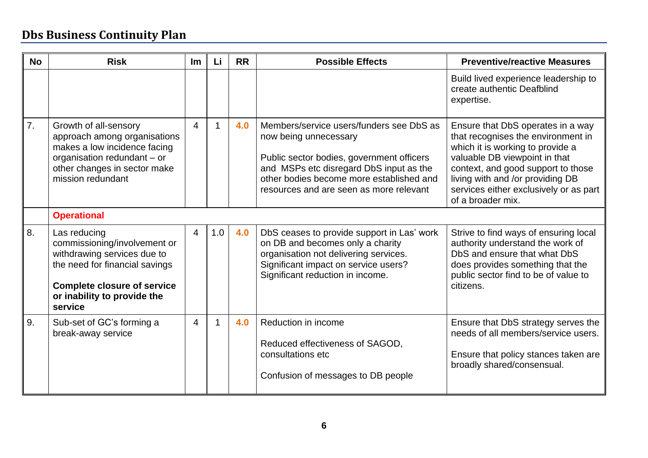| <b>No</b> | <b>Risk</b>                                                                                                                                                                                   | Im             | Li  | <b>RR</b> | <b>Possible Effects</b>                                                                                                                                                                                                                          | <b>Preventive/reactive Measures</b>                                                                                                                                                                                                                                                   |  |  |  |
|-----------|-----------------------------------------------------------------------------------------------------------------------------------------------------------------------------------------------|----------------|-----|-----------|--------------------------------------------------------------------------------------------------------------------------------------------------------------------------------------------------------------------------------------------------|---------------------------------------------------------------------------------------------------------------------------------------------------------------------------------------------------------------------------------------------------------------------------------------|--|--|--|
|           |                                                                                                                                                                                               |                |     |           |                                                                                                                                                                                                                                                  | Build lived experience leadership to<br>create authentic Deafblind<br>expertise.                                                                                                                                                                                                      |  |  |  |
| 7.        | Growth of all-sensory<br>approach among organisations<br>makes a low incidence facing<br>organisation redundant - or<br>other changes in sector make<br>mission redundant                     | $\overline{4}$ |     | 4.0       | Members/service users/funders see DbS as<br>now being unnecessary<br>Public sector bodies, government officers<br>and MSPs etc disregard DbS input as the<br>other bodies become more established and<br>resources and are seen as more relevant | Ensure that DbS operates in a way<br>that recognises the environment in<br>which it is working to provide a<br>valuable DB viewpoint in that<br>context, and good support to those<br>living with and /or providing DB<br>services either exclusively or as part<br>of a broader mix. |  |  |  |
|           | <b>Operational</b>                                                                                                                                                                            |                |     |           |                                                                                                                                                                                                                                                  |                                                                                                                                                                                                                                                                                       |  |  |  |
| 8.        | Las reducing<br>commissioning/involvement or<br>withdrawing services due to<br>the need for financial savings<br><b>Complete closure of service</b><br>or inability to provide the<br>service | $\overline{4}$ | 1.0 | 4.0       | DbS ceases to provide support in Las' work<br>on DB and becomes only a charity<br>organisation not delivering services.<br>Significant impact on service users?<br>Significant reduction in income.                                              | Strive to find ways of ensuring local<br>authority understand the work of<br>DbS and ensure that what DbS<br>does provides something that the<br>public sector find to be of value to<br>citizens.                                                                                    |  |  |  |
| 9.        | Sub-set of GC's forming a<br>break-away service                                                                                                                                               | $\overline{4}$ |     | 4.0       | Reduction in income<br>Reduced effectiveness of SAGOD,<br>consultations etc<br>Confusion of messages to DB people                                                                                                                                | Ensure that DbS strategy serves the<br>needs of all members/service users.<br>Ensure that policy stances taken are<br>broadly shared/consensual.                                                                                                                                      |  |  |  |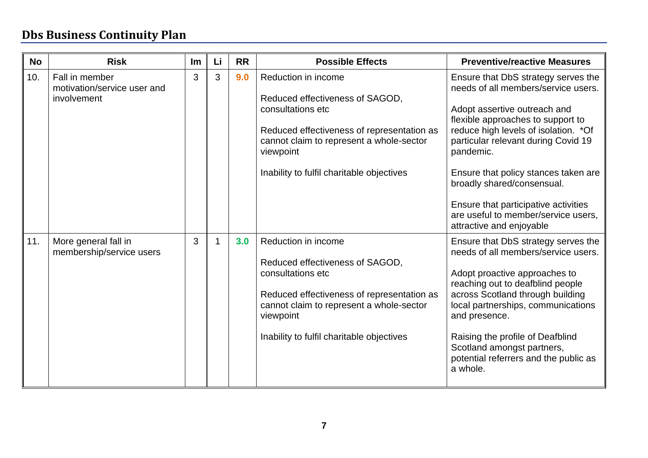| <b>No</b> | <b>Risk</b>                                                  | <u>Im</u> | Li | <b>RR</b> | <b>Possible Effects</b>                                                                                                                                                                                                         | <b>Preventive/reactive Measures</b>                                                                                                                                                                                                                                                                                                                                                                                           |
|-----------|--------------------------------------------------------------|-----------|----|-----------|---------------------------------------------------------------------------------------------------------------------------------------------------------------------------------------------------------------------------------|-------------------------------------------------------------------------------------------------------------------------------------------------------------------------------------------------------------------------------------------------------------------------------------------------------------------------------------------------------------------------------------------------------------------------------|
| 10.       | Fall in member<br>motivation/service user and<br>involvement | 3         | 3  | 9.0       | Reduction in income<br>Reduced effectiveness of SAGOD,<br>consultations etc<br>Reduced effectiveness of representation as<br>cannot claim to represent a whole-sector<br>viewpoint<br>Inability to fulfil charitable objectives | Ensure that DbS strategy serves the<br>needs of all members/service users.<br>Adopt assertive outreach and<br>flexible approaches to support to<br>reduce high levels of isolation. * Of<br>particular relevant during Covid 19<br>pandemic.<br>Ensure that policy stances taken are<br>broadly shared/consensual.<br>Ensure that participative activities<br>are useful to member/service users,<br>attractive and enjoyable |
| 11.       | More general fall in<br>membership/service users             | 3         |    | 3.0       | Reduction in income<br>Reduced effectiveness of SAGOD,<br>consultations etc<br>Reduced effectiveness of representation as<br>cannot claim to represent a whole-sector<br>viewpoint<br>Inability to fulfil charitable objectives | Ensure that DbS strategy serves the<br>needs of all members/service users.<br>Adopt proactive approaches to<br>reaching out to deafblind people<br>across Scotland through building<br>local partnerships, communications<br>and presence.<br>Raising the profile of Deafblind<br>Scotland amongst partners,<br>potential referrers and the public as<br>a whole.                                                             |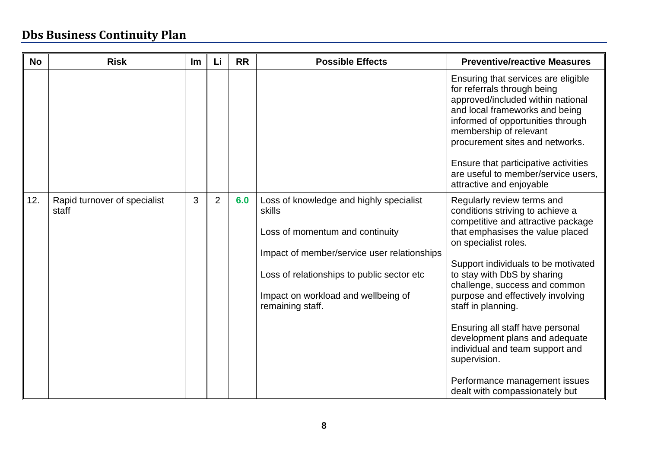| <b>No</b> | <b>Risk</b>                           | Im | Li             | <b>RR</b> | <b>Possible Effects</b>                                                                                                                                                                                                                      | <b>Preventive/reactive Measures</b>                                                                                                                                                                                                                                                                                                                                                                                                                                                                                            |
|-----------|---------------------------------------|----|----------------|-----------|----------------------------------------------------------------------------------------------------------------------------------------------------------------------------------------------------------------------------------------------|--------------------------------------------------------------------------------------------------------------------------------------------------------------------------------------------------------------------------------------------------------------------------------------------------------------------------------------------------------------------------------------------------------------------------------------------------------------------------------------------------------------------------------|
|           |                                       |    |                |           |                                                                                                                                                                                                                                              | Ensuring that services are eligible<br>for referrals through being<br>approved/included within national<br>and local frameworks and being<br>informed of opportunities through<br>membership of relevant<br>procurement sites and networks.<br>Ensure that participative activities<br>are useful to member/service users,<br>attractive and enjoyable                                                                                                                                                                         |
| 12.       | Rapid turnover of specialist<br>staff | 3  | $\overline{2}$ | 6.0       | Loss of knowledge and highly specialist<br>skills<br>Loss of momentum and continuity<br>Impact of member/service user relationships<br>Loss of relationships to public sector etc<br>Impact on workload and wellbeing of<br>remaining staff. | Regularly review terms and<br>conditions striving to achieve a<br>competitive and attractive package<br>that emphasises the value placed<br>on specialist roles.<br>Support individuals to be motivated<br>to stay with DbS by sharing<br>challenge, success and common<br>purpose and effectively involving<br>staff in planning.<br>Ensuring all staff have personal<br>development plans and adequate<br>individual and team support and<br>supervision.<br>Performance management issues<br>dealt with compassionately but |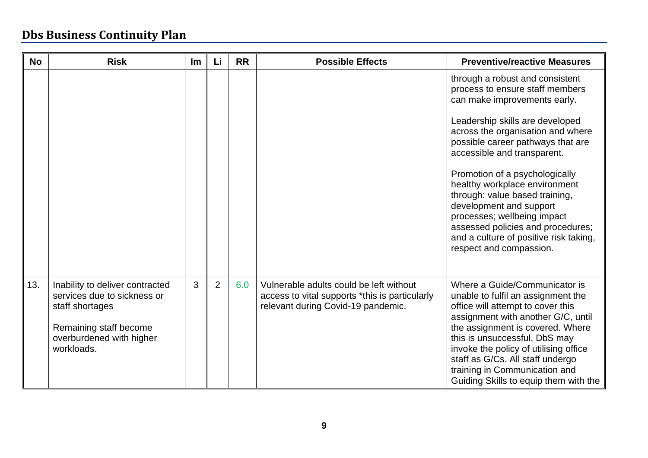| <b>No</b> | <b>Risk</b>                                                                                                                                           | Im | Li             | <b>RR</b> | <b>Possible Effects</b>                                                                                                         | <b>Preventive/reactive Measures</b>                                                                                                                                                                                                                                                                                                                                                                                                                                                                                     |
|-----------|-------------------------------------------------------------------------------------------------------------------------------------------------------|----|----------------|-----------|---------------------------------------------------------------------------------------------------------------------------------|-------------------------------------------------------------------------------------------------------------------------------------------------------------------------------------------------------------------------------------------------------------------------------------------------------------------------------------------------------------------------------------------------------------------------------------------------------------------------------------------------------------------------|
|           |                                                                                                                                                       |    |                |           |                                                                                                                                 | through a robust and consistent<br>process to ensure staff members<br>can make improvements early.<br>Leadership skills are developed<br>across the organisation and where<br>possible career pathways that are<br>accessible and transparent.<br>Promotion of a psychologically<br>healthy workplace environment<br>through: value based training,<br>development and support<br>processes; wellbeing impact<br>assessed policies and procedures;<br>and a culture of positive risk taking,<br>respect and compassion. |
| 13.       | Inability to deliver contracted<br>services due to sickness or<br>staff shortages<br>Remaining staff become<br>overburdened with higher<br>workloads. | 3  | $\overline{2}$ | 6.0       | Vulnerable adults could be left without<br>access to vital supports *this is particularly<br>relevant during Covid-19 pandemic. | Where a Guide/Communicator is<br>unable to fulfil an assignment the<br>office will attempt to cover this<br>assignment with another G/C, until<br>the assignment is covered. Where<br>this is unsuccessful, DbS may<br>invoke the policy of utilising office<br>staff as G/Cs. All staff undergo<br>training in Communication and<br>Guiding Skills to equip them with the                                                                                                                                              |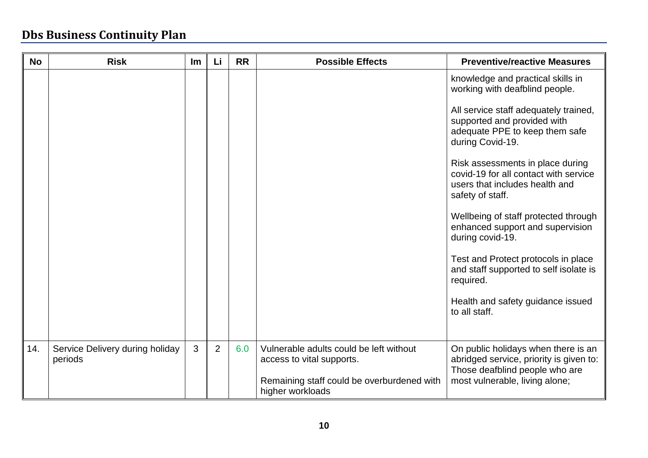| <b>No</b> | <b>Risk</b>                                | Im | Li             | <b>RR</b> | <b>Possible Effects</b>                                              | <b>Preventive/reactive Measures</b>                                                                                             |
|-----------|--------------------------------------------|----|----------------|-----------|----------------------------------------------------------------------|---------------------------------------------------------------------------------------------------------------------------------|
|           |                                            |    |                |           |                                                                      | knowledge and practical skills in<br>working with deafblind people.                                                             |
|           |                                            |    |                |           |                                                                      | All service staff adequately trained,<br>supported and provided with<br>adequate PPE to keep them safe<br>during Covid-19.      |
|           |                                            |    |                |           |                                                                      | Risk assessments in place during<br>covid-19 for all contact with service<br>users that includes health and<br>safety of staff. |
|           |                                            |    |                |           |                                                                      | Wellbeing of staff protected through<br>enhanced support and supervision<br>during covid-19.                                    |
|           |                                            |    |                |           |                                                                      | Test and Protect protocols in place<br>and staff supported to self isolate is<br>required.                                      |
|           |                                            |    |                |           |                                                                      | Health and safety guidance issued<br>to all staff.                                                                              |
|           |                                            |    |                |           |                                                                      |                                                                                                                                 |
| 14.       | Service Delivery during holiday<br>periods | 3  | $\overline{2}$ | 6.0       | Vulnerable adults could be left without<br>access to vital supports. | On public holidays when there is an<br>abridged service, priority is given to:<br>Those deafblind people who are                |
|           |                                            |    |                |           | Remaining staff could be overburdened with<br>higher workloads       | most vulnerable, living alone;                                                                                                  |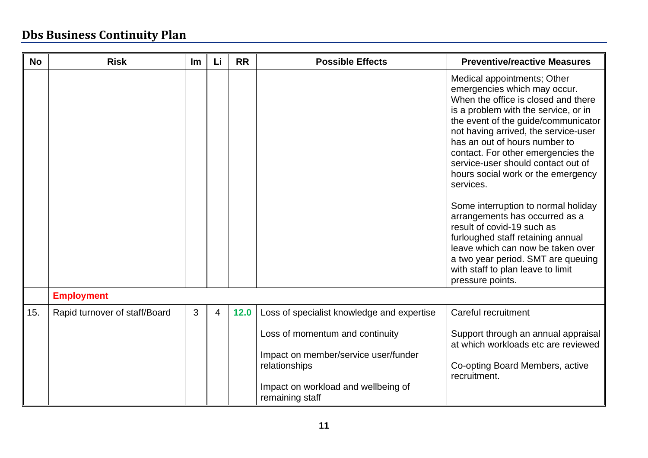| <b>No</b> | <b>Risk</b>                   | Im | Li             | <b>RR</b> | <b>Possible Effects</b>                                | <b>Preventive/reactive Measures</b>                                                                                                                                                                                                                                                                                                                                                                                                                                                                                                                                                                                                                                       |
|-----------|-------------------------------|----|----------------|-----------|--------------------------------------------------------|---------------------------------------------------------------------------------------------------------------------------------------------------------------------------------------------------------------------------------------------------------------------------------------------------------------------------------------------------------------------------------------------------------------------------------------------------------------------------------------------------------------------------------------------------------------------------------------------------------------------------------------------------------------------------|
|           |                               |    |                |           |                                                        | Medical appointments; Other<br>emergencies which may occur.<br>When the office is closed and there<br>is a problem with the service, or in<br>the event of the guide/communicator<br>not having arrived, the service-user<br>has an out of hours number to<br>contact. For other emergencies the<br>service-user should contact out of<br>hours social work or the emergency<br>services.<br>Some interruption to normal holiday<br>arrangements has occurred as a<br>result of covid-19 such as<br>furloughed staff retaining annual<br>leave which can now be taken over<br>a two year period. SMT are queuing<br>with staff to plan leave to limit<br>pressure points. |
|           | <b>Employment</b>             |    |                |           |                                                        |                                                                                                                                                                                                                                                                                                                                                                                                                                                                                                                                                                                                                                                                           |
| 15.       | Rapid turnover of staff/Board | 3  | $\overline{4}$ | 12.0      | Loss of specialist knowledge and expertise             | Careful recruitment                                                                                                                                                                                                                                                                                                                                                                                                                                                                                                                                                                                                                                                       |
|           |                               |    |                |           | Loss of momentum and continuity                        | Support through an annual appraisal<br>at which workloads etc are reviewed                                                                                                                                                                                                                                                                                                                                                                                                                                                                                                                                                                                                |
|           |                               |    |                |           | Impact on member/service user/funder<br>relationships  | Co-opting Board Members, active<br>recruitment.                                                                                                                                                                                                                                                                                                                                                                                                                                                                                                                                                                                                                           |
|           |                               |    |                |           | Impact on workload and wellbeing of<br>remaining staff |                                                                                                                                                                                                                                                                                                                                                                                                                                                                                                                                                                                                                                                                           |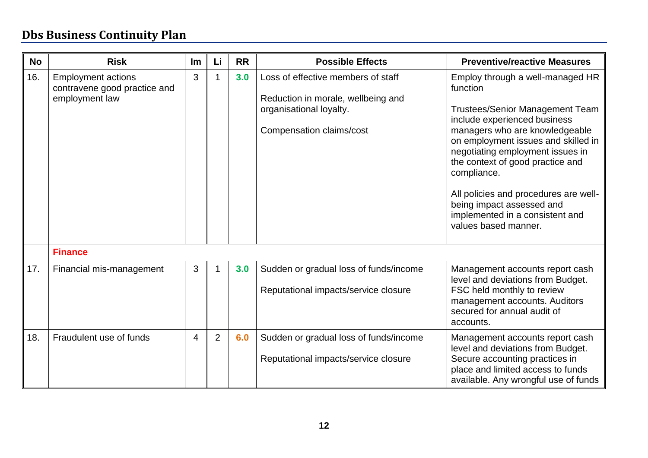| <b>No</b> | <b>Risk</b>                                                                 | Im             | Li             | <b>RR</b> | <b>Possible Effects</b>                                                                                                         | <b>Preventive/reactive Measures</b>                                                                                                                                                                                                                                                                                                                                                                                     |
|-----------|-----------------------------------------------------------------------------|----------------|----------------|-----------|---------------------------------------------------------------------------------------------------------------------------------|-------------------------------------------------------------------------------------------------------------------------------------------------------------------------------------------------------------------------------------------------------------------------------------------------------------------------------------------------------------------------------------------------------------------------|
| 16.       | <b>Employment actions</b><br>contravene good practice and<br>employment law | 3              |                | 3.0       | Loss of effective members of staff<br>Reduction in morale, wellbeing and<br>organisational loyalty.<br>Compensation claims/cost | Employ through a well-managed HR<br>function<br><b>Trustees/Senior Management Team</b><br>include experienced business<br>managers who are knowledgeable<br>on employment issues and skilled in<br>negotiating employment issues in<br>the context of good practice and<br>compliance.<br>All policies and procedures are well-<br>being impact assessed and<br>implemented in a consistent and<br>values based manner. |
|           | <b>Finance</b>                                                              |                |                |           |                                                                                                                                 |                                                                                                                                                                                                                                                                                                                                                                                                                         |
| 17.       | Financial mis-management                                                    | 3              |                | 3.0       | Sudden or gradual loss of funds/income<br>Reputational impacts/service closure                                                  | Management accounts report cash<br>level and deviations from Budget.<br>FSC held monthly to review<br>management accounts. Auditors<br>secured for annual audit of<br>accounts.                                                                                                                                                                                                                                         |
| 18.       | Fraudulent use of funds                                                     | $\overline{4}$ | $\overline{2}$ | 6.0       | Sudden or gradual loss of funds/income<br>Reputational impacts/service closure                                                  | Management accounts report cash<br>level and deviations from Budget.<br>Secure accounting practices in<br>place and limited access to funds<br>available. Any wrongful use of funds                                                                                                                                                                                                                                     |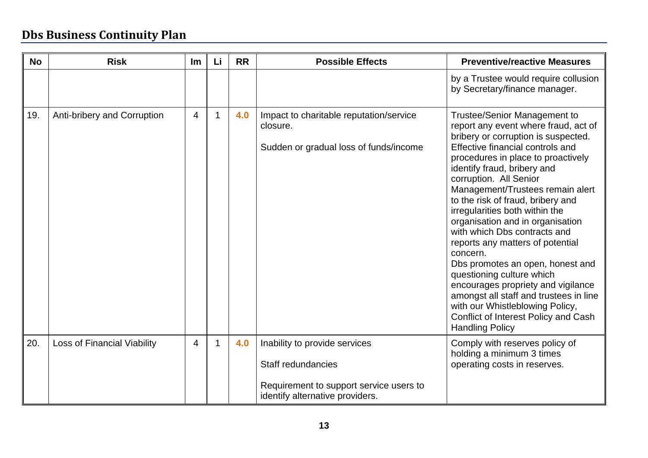| <b>No</b> | <b>Risk</b>                        | Im             | Li          | <b>RR</b> | <b>Possible Effects</b>                                                                       | <b>Preventive/reactive Measures</b>                                                                                                                                                                                                                                                                                                                                                                                                                                                                                                                                                                                                                                                                                                        |
|-----------|------------------------------------|----------------|-------------|-----------|-----------------------------------------------------------------------------------------------|--------------------------------------------------------------------------------------------------------------------------------------------------------------------------------------------------------------------------------------------------------------------------------------------------------------------------------------------------------------------------------------------------------------------------------------------------------------------------------------------------------------------------------------------------------------------------------------------------------------------------------------------------------------------------------------------------------------------------------------------|
|           |                                    |                |             |           |                                                                                               | by a Trustee would require collusion<br>by Secretary/finance manager.                                                                                                                                                                                                                                                                                                                                                                                                                                                                                                                                                                                                                                                                      |
| 19.       | Anti-bribery and Corruption        | $\overline{4}$ |             | 4.0       | Impact to charitable reputation/service<br>closure.<br>Sudden or gradual loss of funds/income | <b>Trustee/Senior Management to</b><br>report any event where fraud, act of<br>bribery or corruption is suspected.<br>Effective financial controls and<br>procedures in place to proactively<br>identify fraud, bribery and<br>corruption. All Senior<br>Management/Trustees remain alert<br>to the risk of fraud, bribery and<br>irregularities both within the<br>organisation and in organisation<br>with which Dbs contracts and<br>reports any matters of potential<br>concern.<br>Dbs promotes an open, honest and<br>questioning culture which<br>encourages propriety and vigilance<br>amongst all staff and trustees in line<br>with our Whistleblowing Policy,<br>Conflict of Interest Policy and Cash<br><b>Handling Policy</b> |
| 20.       | <b>Loss of Financial Viability</b> | 4              | $\mathbf 1$ | 4.0       | Inability to provide services<br>Staff redundancies                                           | Comply with reserves policy of<br>holding a minimum 3 times<br>operating costs in reserves.                                                                                                                                                                                                                                                                                                                                                                                                                                                                                                                                                                                                                                                |
|           |                                    |                |             |           | Requirement to support service users to<br>identify alternative providers.                    |                                                                                                                                                                                                                                                                                                                                                                                                                                                                                                                                                                                                                                                                                                                                            |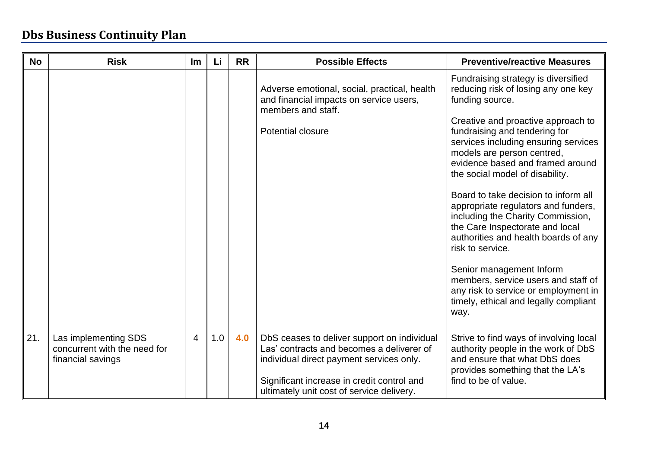| <b>No</b> | <b>Risk</b>                                                               | <u>Im</u> | Li  | <b>RR</b> | <b>Possible Effects</b>                                                                                                                                                                                                         | <b>Preventive/reactive Measures</b>                                                                                                                                                                                                                                                                                                                                                                                                                                                                                                                                                                                                                                                              |
|-----------|---------------------------------------------------------------------------|-----------|-----|-----------|---------------------------------------------------------------------------------------------------------------------------------------------------------------------------------------------------------------------------------|--------------------------------------------------------------------------------------------------------------------------------------------------------------------------------------------------------------------------------------------------------------------------------------------------------------------------------------------------------------------------------------------------------------------------------------------------------------------------------------------------------------------------------------------------------------------------------------------------------------------------------------------------------------------------------------------------|
|           |                                                                           |           |     |           | Adverse emotional, social, practical, health<br>and financial impacts on service users,<br>members and staff.<br>Potential closure                                                                                              | Fundraising strategy is diversified<br>reducing risk of losing any one key<br>funding source.<br>Creative and proactive approach to<br>fundraising and tendering for<br>services including ensuring services<br>models are person centred,<br>evidence based and framed around<br>the social model of disability.<br>Board to take decision to inform all<br>appropriate regulators and funders,<br>including the Charity Commission,<br>the Care Inspectorate and local<br>authorities and health boards of any<br>risk to service.<br>Senior management Inform<br>members, service users and staff of<br>any risk to service or employment in<br>timely, ethical and legally compliant<br>way. |
| 21.       | Las implementing SDS<br>concurrent with the need for<br>financial savings | 4         | 1.0 | 4.0       | DbS ceases to deliver support on individual<br>Las' contracts and becomes a deliverer of<br>individual direct payment services only.<br>Significant increase in credit control and<br>ultimately unit cost of service delivery. | Strive to find ways of involving local<br>authority people in the work of DbS<br>and ensure that what DbS does<br>provides something that the LA's<br>find to be of value.                                                                                                                                                                                                                                                                                                                                                                                                                                                                                                                       |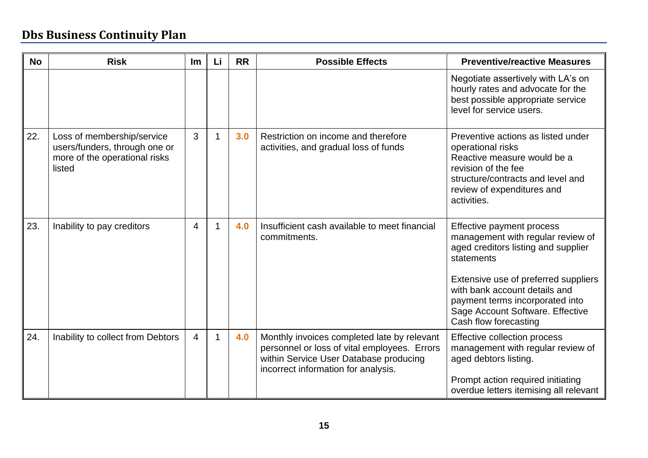| <b>No</b> | <b>Risk</b>                                                                                            | Im             | Li | <b>RR</b> | <b>Possible Effects</b>                                                                                                                                                      | <b>Preventive/reactive Measures</b>                                                                                                                                                                                                                                                          |
|-----------|--------------------------------------------------------------------------------------------------------|----------------|----|-----------|------------------------------------------------------------------------------------------------------------------------------------------------------------------------------|----------------------------------------------------------------------------------------------------------------------------------------------------------------------------------------------------------------------------------------------------------------------------------------------|
|           |                                                                                                        |                |    |           |                                                                                                                                                                              | Negotiate assertively with LA's on<br>hourly rates and advocate for the<br>best possible appropriate service<br>level for service users.                                                                                                                                                     |
| 22.       | Loss of membership/service<br>users/funders, through one or<br>more of the operational risks<br>listed | 3              |    | 3.0       | Restriction on income and therefore<br>activities, and gradual loss of funds                                                                                                 | Preventive actions as listed under<br>operational risks<br>Reactive measure would be a<br>revision of the fee<br>structure/contracts and level and<br>review of expenditures and<br>activities.                                                                                              |
| 23.       | Inability to pay creditors                                                                             | $\overline{4}$ |    | 4.0       | Insufficient cash available to meet financial<br>commitments.                                                                                                                | Effective payment process<br>management with regular review of<br>aged creditors listing and supplier<br>statements<br>Extensive use of preferred suppliers<br>with bank account details and<br>payment terms incorporated into<br>Sage Account Software. Effective<br>Cash flow forecasting |
| 24.       | Inability to collect from Debtors                                                                      | $\overline{4}$ |    | 4.0       | Monthly invoices completed late by relevant<br>personnel or loss of vital employees. Errors<br>within Service User Database producing<br>incorrect information for analysis. | Effective collection process<br>management with regular review of<br>aged debtors listing.<br>Prompt action required initiating<br>overdue letters itemising all relevant                                                                                                                    |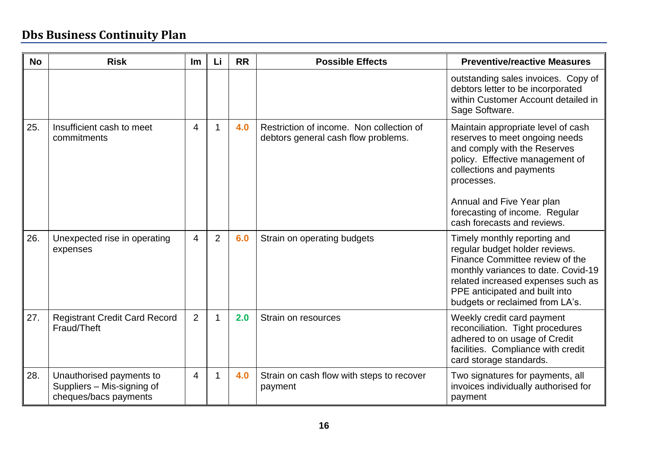| <b>No</b> | <b>Risk</b>                                                                     | <b>Im</b>      | Li             | <b>RR</b> | <b>Possible Effects</b>                                                         | <b>Preventive/reactive Measures</b>                                                                                                                                                                                                                                             |
|-----------|---------------------------------------------------------------------------------|----------------|----------------|-----------|---------------------------------------------------------------------------------|---------------------------------------------------------------------------------------------------------------------------------------------------------------------------------------------------------------------------------------------------------------------------------|
|           |                                                                                 |                |                |           |                                                                                 | outstanding sales invoices. Copy of<br>debtors letter to be incorporated<br>within Customer Account detailed in<br>Sage Software.                                                                                                                                               |
| 25.       | Insufficient cash to meet<br>commitments                                        | 4              | 1              | 4.0       | Restriction of income. Non collection of<br>debtors general cash flow problems. | Maintain appropriate level of cash<br>reserves to meet ongoing needs<br>and comply with the Reserves<br>policy. Effective management of<br>collections and payments<br>processes.<br>Annual and Five Year plan<br>forecasting of income. Regular<br>cash forecasts and reviews. |
| 26.       | Unexpected rise in operating<br>expenses                                        | $\overline{4}$ | $\overline{2}$ | 6.0       | Strain on operating budgets                                                     | Timely monthly reporting and<br>regular budget holder reviews.<br>Finance Committee review of the<br>monthly variances to date. Covid-19<br>related increased expenses such as<br>PPE anticipated and built into<br>budgets or reclaimed from LA's.                             |
| 27.       | <b>Registrant Credit Card Record</b><br>Fraud/Theft                             | $\overline{2}$ | 1              | 2.0       | Strain on resources                                                             | Weekly credit card payment<br>reconciliation. Tight procedures<br>adhered to on usage of Credit<br>facilities. Compliance with credit<br>card storage standards.                                                                                                                |
| 28.       | Unauthorised payments to<br>Suppliers - Mis-signing of<br>cheques/bacs payments | 4              | 1              | 4.0       | Strain on cash flow with steps to recover<br>payment                            | Two signatures for payments, all<br>invoices individually authorised for<br>payment                                                                                                                                                                                             |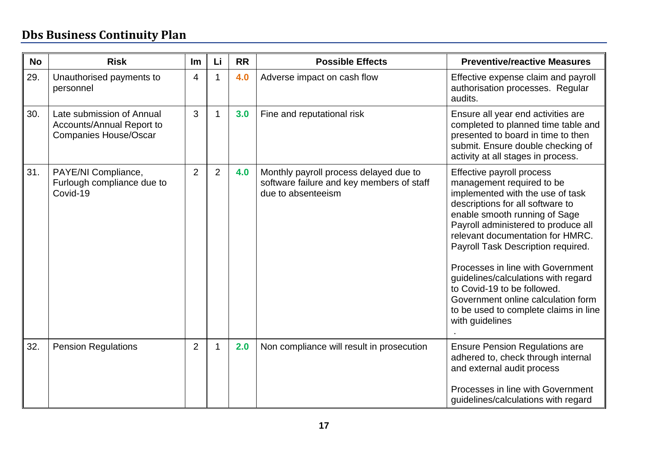| <b>No</b> | <b>Risk</b>                                                                            | Im             | Li             | <b>RR</b> | <b>Possible Effects</b>                                                                                   | <b>Preventive/reactive Measures</b>                                                                                                                                                                                                                                                                                                                                                                                                                                                           |
|-----------|----------------------------------------------------------------------------------------|----------------|----------------|-----------|-----------------------------------------------------------------------------------------------------------|-----------------------------------------------------------------------------------------------------------------------------------------------------------------------------------------------------------------------------------------------------------------------------------------------------------------------------------------------------------------------------------------------------------------------------------------------------------------------------------------------|
| 29.       | Unauthorised payments to<br>personnel                                                  | 4              | 1              | 4.0       | Adverse impact on cash flow                                                                               | Effective expense claim and payroll<br>authorisation processes. Regular<br>audits.                                                                                                                                                                                                                                                                                                                                                                                                            |
| 30.       | Late submission of Annual<br>Accounts/Annual Report to<br><b>Companies House/Oscar</b> | 3              | 1              | 3.0       | Fine and reputational risk                                                                                | Ensure all year end activities are<br>completed to planned time table and<br>presented to board in time to then<br>submit. Ensure double checking of<br>activity at all stages in process.                                                                                                                                                                                                                                                                                                    |
| 31.       | PAYE/NI Compliance,<br>Furlough compliance due to<br>Covid-19                          | $\overline{2}$ | $\overline{2}$ | 4.0       | Monthly payroll process delayed due to<br>software failure and key members of staff<br>due to absenteeism | Effective payroll process<br>management required to be<br>implemented with the use of task<br>descriptions for all software to<br>enable smooth running of Sage<br>Payroll administered to produce all<br>relevant documentation for HMRC.<br>Payroll Task Description required.<br>Processes in line with Government<br>guidelines/calculations with regard<br>to Covid-19 to be followed.<br>Government online calculation form<br>to be used to complete claims in line<br>with guidelines |
| 32.       | <b>Pension Regulations</b>                                                             | $\overline{2}$ | 1              | 2.0       | Non compliance will result in prosecution                                                                 | <b>Ensure Pension Regulations are</b><br>adhered to, check through internal<br>and external audit process<br>Processes in line with Government<br>guidelines/calculations with regard                                                                                                                                                                                                                                                                                                         |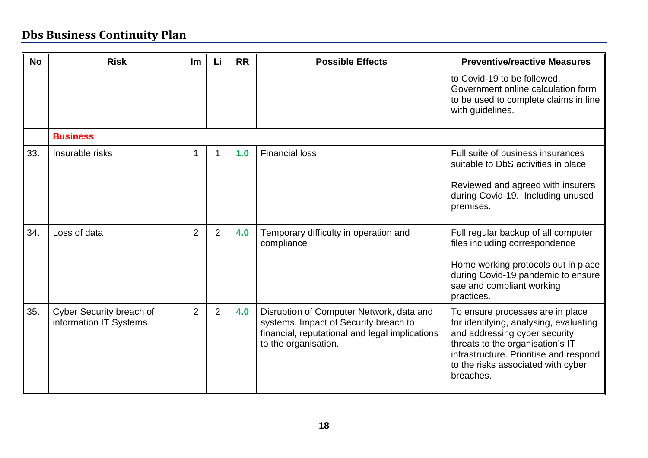| <b>No</b> | <b>Risk</b>                                        | Im             | Li             | <b>RR</b> | <b>Possible Effects</b>                                                                                                                                     | <b>Preventive/reactive Measures</b>                                                                                                                                                                                                          |
|-----------|----------------------------------------------------|----------------|----------------|-----------|-------------------------------------------------------------------------------------------------------------------------------------------------------------|----------------------------------------------------------------------------------------------------------------------------------------------------------------------------------------------------------------------------------------------|
|           |                                                    |                |                |           |                                                                                                                                                             | to Covid-19 to be followed.<br>Government online calculation form<br>to be used to complete claims in line<br>with guidelines.                                                                                                               |
|           | <b>Business</b>                                    |                |                |           |                                                                                                                                                             |                                                                                                                                                                                                                                              |
| 33.       | Insurable risks                                    |                |                | 1.0       | <b>Financial loss</b>                                                                                                                                       | Full suite of business insurances<br>suitable to DbS activities in place<br>Reviewed and agreed with insurers<br>during Covid-19. Including unused<br>premises.                                                                              |
| 34.       | Loss of data                                       | 2              | $\overline{2}$ | 4.0       | Temporary difficulty in operation and<br>compliance                                                                                                         | Full regular backup of all computer<br>files including correspondence<br>Home working protocols out in place<br>during Covid-19 pandemic to ensure<br>sae and compliant working<br>practices.                                                |
| 35.       | Cyber Security breach of<br>information IT Systems | $\overline{2}$ | $\overline{2}$ | 4.0       | Disruption of Computer Network, data and<br>systems. Impact of Security breach to<br>financial, reputational and legal implications<br>to the organisation. | To ensure processes are in place<br>for identifying, analysing, evaluating<br>and addressing cyber security<br>threats to the organisation's IT<br>infrastructure. Prioritise and respond<br>to the risks associated with cyber<br>breaches. |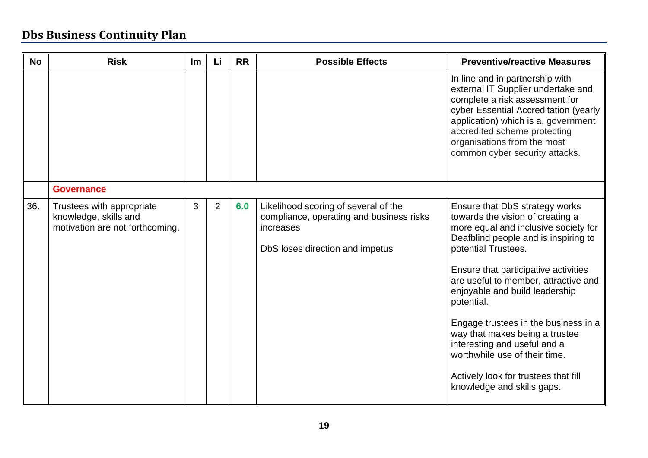| <b>No</b> | <b>Risk</b>                                                                           | <b>Im</b> | Li             | <b>RR</b> | <b>Possible Effects</b>                                                                                                          | <b>Preventive/reactive Measures</b>                                                                                                                                                                                                                                                                                                                                                                                                                                                                                        |
|-----------|---------------------------------------------------------------------------------------|-----------|----------------|-----------|----------------------------------------------------------------------------------------------------------------------------------|----------------------------------------------------------------------------------------------------------------------------------------------------------------------------------------------------------------------------------------------------------------------------------------------------------------------------------------------------------------------------------------------------------------------------------------------------------------------------------------------------------------------------|
|           |                                                                                       |           |                |           |                                                                                                                                  | In line and in partnership with<br>external IT Supplier undertake and<br>complete a risk assessment for<br>cyber Essential Accreditation (yearly<br>application) which is a, government<br>accredited scheme protecting<br>organisations from the most<br>common cyber security attacks.                                                                                                                                                                                                                                   |
|           | <b>Governance</b>                                                                     |           |                |           |                                                                                                                                  |                                                                                                                                                                                                                                                                                                                                                                                                                                                                                                                            |
| 36.       | Trustees with appropriate<br>knowledge, skills and<br>motivation are not forthcoming. | 3         | $\overline{2}$ | 6.0       | Likelihood scoring of several of the<br>compliance, operating and business risks<br>increases<br>DbS loses direction and impetus | Ensure that DbS strategy works<br>towards the vision of creating a<br>more equal and inclusive society for<br>Deafblind people and is inspiring to<br>potential Trustees.<br>Ensure that participative activities<br>are useful to member, attractive and<br>enjoyable and build leadership<br>potential.<br>Engage trustees in the business in a<br>way that makes being a trustee<br>interesting and useful and a<br>worthwhile use of their time.<br>Actively look for trustees that fill<br>knowledge and skills gaps. |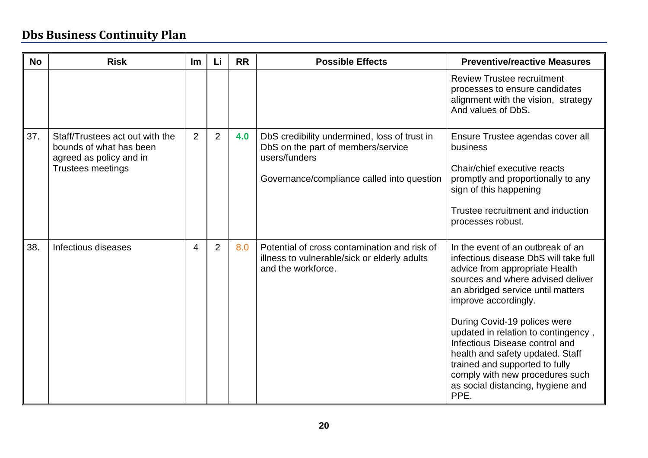| <b>No</b> | <b>Risk</b>                                                                                                       | Im             | Li             | <b>RR</b> | <b>Possible Effects</b>                                                                                                                           | <b>Preventive/reactive Measures</b>                                                                                                                                                                                                                                                                                                                                                                                                                                           |
|-----------|-------------------------------------------------------------------------------------------------------------------|----------------|----------------|-----------|---------------------------------------------------------------------------------------------------------------------------------------------------|-------------------------------------------------------------------------------------------------------------------------------------------------------------------------------------------------------------------------------------------------------------------------------------------------------------------------------------------------------------------------------------------------------------------------------------------------------------------------------|
|           |                                                                                                                   |                |                |           |                                                                                                                                                   | <b>Review Trustee recruitment</b><br>processes to ensure candidates<br>alignment with the vision, strategy<br>And values of DbS.                                                                                                                                                                                                                                                                                                                                              |
| 37.       | Staff/Trustees act out with the<br>bounds of what has been<br>agreed as policy and in<br><b>Trustees meetings</b> | $\overline{2}$ | 2              | 4.0       | DbS credibility undermined, loss of trust in<br>DbS on the part of members/service<br>users/funders<br>Governance/compliance called into question | Ensure Trustee agendas cover all<br>business<br>Chair/chief executive reacts<br>promptly and proportionally to any<br>sign of this happening<br>Trustee recruitment and induction<br>processes robust.                                                                                                                                                                                                                                                                        |
| 38.       | Infectious diseases                                                                                               | 4              | $\overline{2}$ | 8.0       | Potential of cross contamination and risk of<br>illness to vulnerable/sick or elderly adults<br>and the workforce.                                | In the event of an outbreak of an<br>infectious disease DbS will take full<br>advice from appropriate Health<br>sources and where advised deliver<br>an abridged service until matters<br>improve accordingly.<br>During Covid-19 polices were<br>updated in relation to contingency,<br>Infectious Disease control and<br>health and safety updated. Staff<br>trained and supported to fully<br>comply with new procedures such<br>as social distancing, hygiene and<br>PPE. |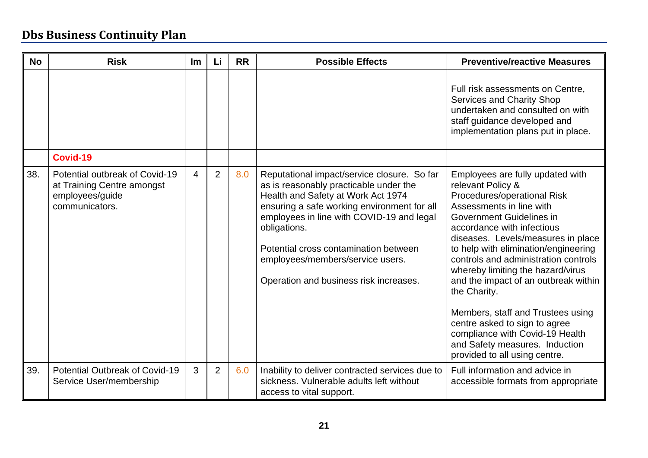| <b>No</b> | <b>Risk</b>                                                                                       | Im | Li             | <b>RR</b> | <b>Possible Effects</b>                                                                                                                                                                                                                                                                                                                                        | <b>Preventive/reactive Measures</b>                                                                                                                                                                                                                                                                                                                                                                                                                                                                                                                                       |
|-----------|---------------------------------------------------------------------------------------------------|----|----------------|-----------|----------------------------------------------------------------------------------------------------------------------------------------------------------------------------------------------------------------------------------------------------------------------------------------------------------------------------------------------------------------|---------------------------------------------------------------------------------------------------------------------------------------------------------------------------------------------------------------------------------------------------------------------------------------------------------------------------------------------------------------------------------------------------------------------------------------------------------------------------------------------------------------------------------------------------------------------------|
|           |                                                                                                   |    |                |           |                                                                                                                                                                                                                                                                                                                                                                | Full risk assessments on Centre,<br>Services and Charity Shop<br>undertaken and consulted on with<br>staff guidance developed and<br>implementation plans put in place.                                                                                                                                                                                                                                                                                                                                                                                                   |
|           | Covid-19                                                                                          |    |                |           |                                                                                                                                                                                                                                                                                                                                                                |                                                                                                                                                                                                                                                                                                                                                                                                                                                                                                                                                                           |
| 38.       | Potential outbreak of Covid-19<br>at Training Centre amongst<br>employees/guide<br>communicators. | 4  | $\overline{2}$ | 8.0       | Reputational impact/service closure. So far<br>as is reasonably practicable under the<br>Health and Safety at Work Act 1974<br>ensuring a safe working environment for all<br>employees in line with COVID-19 and legal<br>obligations.<br>Potential cross contamination between<br>employees/members/service users.<br>Operation and business risk increases. | Employees are fully updated with<br>relevant Policy &<br>Procedures/operational Risk<br>Assessments in line with<br>Government Guidelines in<br>accordance with infectious<br>diseases. Levels/measures in place<br>to help with elimination/engineering<br>controls and administration controls<br>whereby limiting the hazard/virus<br>and the impact of an outbreak within<br>the Charity.<br>Members, staff and Trustees using<br>centre asked to sign to agree<br>compliance with Covid-19 Health<br>and Safety measures. Induction<br>provided to all using centre. |
| 39.       | Potential Outbreak of Covid-19<br>Service User/membership                                         | 3  | $\overline{2}$ | 6.0       | Inability to deliver contracted services due to<br>sickness. Vulnerable adults left without<br>access to vital support.                                                                                                                                                                                                                                        | Full information and advice in<br>accessible formats from appropriate                                                                                                                                                                                                                                                                                                                                                                                                                                                                                                     |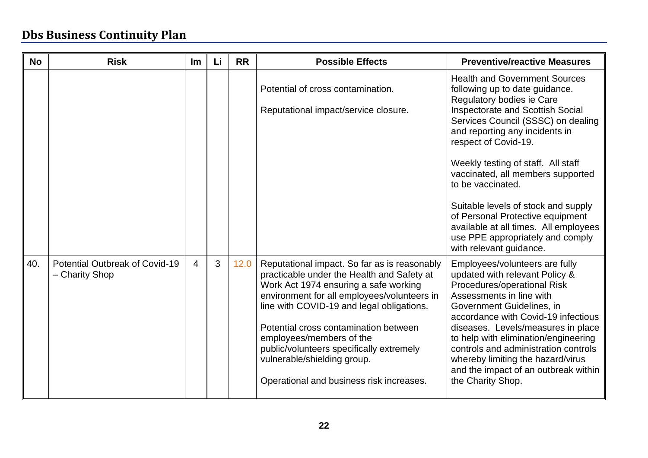| <b>No</b> | <b>Risk</b>                                      | <u>Im</u>      | Li | <b>RR</b> | <b>Possible Effects</b>                                                                                                                                                                                                         | <b>Preventive/reactive Measures</b>                                                                                                                                                             |
|-----------|--------------------------------------------------|----------------|----|-----------|---------------------------------------------------------------------------------------------------------------------------------------------------------------------------------------------------------------------------------|-------------------------------------------------------------------------------------------------------------------------------------------------------------------------------------------------|
|           |                                                  |                |    |           | Potential of cross contamination.                                                                                                                                                                                               | <b>Health and Government Sources</b><br>following up to date guidance.<br>Regulatory bodies ie Care                                                                                             |
|           |                                                  |                |    |           | Reputational impact/service closure.                                                                                                                                                                                            | <b>Inspectorate and Scottish Social</b><br>Services Council (SSSC) on dealing<br>and reporting any incidents in<br>respect of Covid-19.                                                         |
|           |                                                  |                |    |           |                                                                                                                                                                                                                                 | Weekly testing of staff. All staff<br>vaccinated, all members supported<br>to be vaccinated.                                                                                                    |
|           |                                                  |                |    |           |                                                                                                                                                                                                                                 | Suitable levels of stock and supply<br>of Personal Protective equipment<br>available at all times. All employees<br>use PPE appropriately and comply<br>with relevant guidance.                 |
| 40.       | Potential Outbreak of Covid-19<br>- Charity Shop | $\overline{4}$ | 3  | 12.0      | Reputational impact. So far as is reasonably<br>practicable under the Health and Safety at<br>Work Act 1974 ensuring a safe working<br>environment for all employees/volunteers in<br>line with COVID-19 and legal obligations. | Employees/volunteers are fully<br>updated with relevant Policy &<br>Procedures/operational Risk<br>Assessments in line with<br>Government Guidelines, in<br>accordance with Covid-19 infectious |
|           |                                                  |                |    |           | Potential cross contamination between<br>employees/members of the<br>public/volunteers specifically extremely<br>vulnerable/shielding group.                                                                                    | diseases. Levels/measures in place<br>to help with elimination/engineering<br>controls and administration controls<br>whereby limiting the hazard/virus<br>and the impact of an outbreak within |
|           |                                                  |                |    |           | Operational and business risk increases.                                                                                                                                                                                        | the Charity Shop.                                                                                                                                                                               |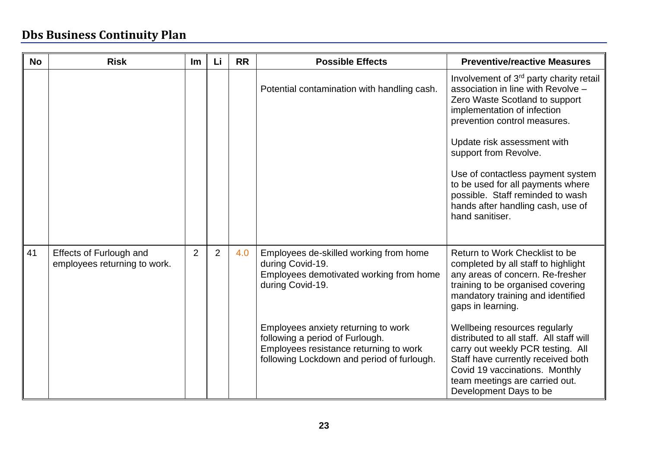| <b>No</b> | <b>Risk</b>                                                    | Im             | Li             | <b>RR</b> | <b>Possible Effects</b>                                                                                                                                                                                                                                                                     | <b>Preventive/reactive Measures</b>                                                                                                                                                                                                                                                                                                                                                                                                                            |
|-----------|----------------------------------------------------------------|----------------|----------------|-----------|---------------------------------------------------------------------------------------------------------------------------------------------------------------------------------------------------------------------------------------------------------------------------------------------|----------------------------------------------------------------------------------------------------------------------------------------------------------------------------------------------------------------------------------------------------------------------------------------------------------------------------------------------------------------------------------------------------------------------------------------------------------------|
|           |                                                                |                |                |           | Potential contamination with handling cash.                                                                                                                                                                                                                                                 | Involvement of 3 <sup>rd</sup> party charity retail<br>association in line with Revolve -<br>Zero Waste Scotland to support<br>implementation of infection<br>prevention control measures.<br>Update risk assessment with<br>support from Revolve.<br>Use of contactless payment system<br>to be used for all payments where<br>possible. Staff reminded to wash<br>hands after handling cash, use of<br>hand sanitiser.                                       |
| 41        | <b>Effects of Furlough and</b><br>employees returning to work. | $\overline{2}$ | $\overline{2}$ | 4.0       | Employees de-skilled working from home<br>during Covid-19.<br>Employees demotivated working from home<br>during Covid-19.<br>Employees anxiety returning to work<br>following a period of Furlough.<br>Employees resistance returning to work<br>following Lockdown and period of furlough. | Return to Work Checklist to be<br>completed by all staff to highlight<br>any areas of concern. Re-fresher<br>training to be organised covering<br>mandatory training and identified<br>gaps in learning.<br>Wellbeing resources regularly<br>distributed to all staff. All staff will<br>carry out weekly PCR testing. All<br>Staff have currently received both<br>Covid 19 vaccinations. Monthly<br>team meetings are carried out.<br>Development Days to be |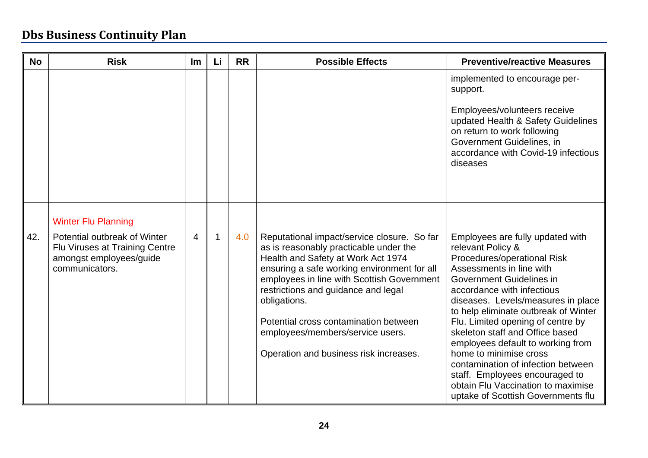| <b>No</b> | <b>Risk</b>                                                                                                 | <b>Im</b> | Li | <b>RR</b> | <b>Possible Effects</b>                                                                                                                                                                                                                                                                                                                                                                                | <b>Preventive/reactive Measures</b>                                                                                                                                                                                                                                                                                                                                                                                                                                                                                                                 |
|-----------|-------------------------------------------------------------------------------------------------------------|-----------|----|-----------|--------------------------------------------------------------------------------------------------------------------------------------------------------------------------------------------------------------------------------------------------------------------------------------------------------------------------------------------------------------------------------------------------------|-----------------------------------------------------------------------------------------------------------------------------------------------------------------------------------------------------------------------------------------------------------------------------------------------------------------------------------------------------------------------------------------------------------------------------------------------------------------------------------------------------------------------------------------------------|
|           |                                                                                                             |           |    |           |                                                                                                                                                                                                                                                                                                                                                                                                        | implemented to encourage per-<br>support.<br>Employees/volunteers receive<br>updated Health & Safety Guidelines<br>on return to work following<br>Government Guidelines, in<br>accordance with Covid-19 infectious<br>diseases                                                                                                                                                                                                                                                                                                                      |
|           | <b>Winter Flu Planning</b>                                                                                  |           |    |           |                                                                                                                                                                                                                                                                                                                                                                                                        |                                                                                                                                                                                                                                                                                                                                                                                                                                                                                                                                                     |
| 42.       | Potential outbreak of Winter<br>Flu Viruses at Training Centre<br>amongst employees/guide<br>communicators. | 4         |    | 4.0       | Reputational impact/service closure. So far<br>as is reasonably practicable under the<br>Health and Safety at Work Act 1974<br>ensuring a safe working environment for all<br>employees in line with Scottish Government<br>restrictions and guidance and legal<br>obligations.<br>Potential cross contamination between<br>employees/members/service users.<br>Operation and business risk increases. | Employees are fully updated with<br>relevant Policy &<br>Procedures/operational Risk<br>Assessments in line with<br>Government Guidelines in<br>accordance with infectious<br>diseases. Levels/measures in place<br>to help eliminate outbreak of Winter<br>Flu. Limited opening of centre by<br>skeleton staff and Office based<br>employees default to working from<br>home to minimise cross<br>contamination of infection between<br>staff. Employees encouraged to<br>obtain Flu Vaccination to maximise<br>uptake of Scottish Governments flu |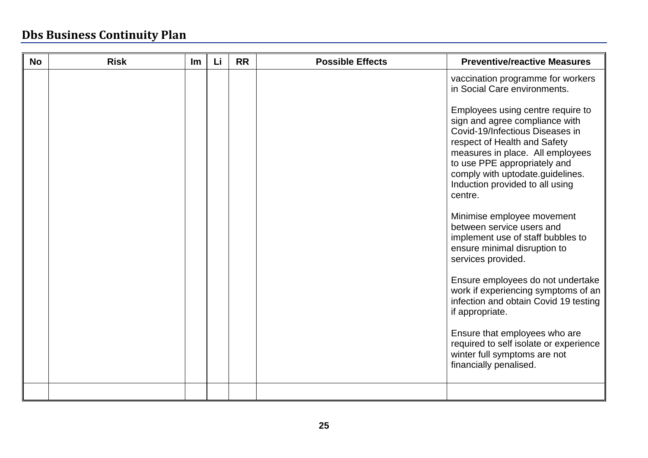| <b>No</b> | <b>Risk</b> | Im | Li | <b>RR</b> | <b>Possible Effects</b> | <b>Preventive/reactive Measures</b>                                                                                                                                                                                                                                                                                                                    |
|-----------|-------------|----|----|-----------|-------------------------|--------------------------------------------------------------------------------------------------------------------------------------------------------------------------------------------------------------------------------------------------------------------------------------------------------------------------------------------------------|
|           |             |    |    |           |                         | vaccination programme for workers<br>in Social Care environments.<br>Employees using centre require to<br>sign and agree compliance with<br>Covid-19/Infectious Diseases in<br>respect of Health and Safety<br>measures in place. All employees<br>to use PPE appropriately and<br>comply with uptodate.guidelines.<br>Induction provided to all using |
|           |             |    |    |           |                         | centre.<br>Minimise employee movement<br>between service users and<br>implement use of staff bubbles to<br>ensure minimal disruption to<br>services provided.                                                                                                                                                                                          |
|           |             |    |    |           |                         | Ensure employees do not undertake<br>work if experiencing symptoms of an<br>infection and obtain Covid 19 testing<br>if appropriate.                                                                                                                                                                                                                   |
|           |             |    |    |           |                         | Ensure that employees who are<br>required to self isolate or experience<br>winter full symptoms are not<br>financially penalised.                                                                                                                                                                                                                      |
|           |             |    |    |           |                         |                                                                                                                                                                                                                                                                                                                                                        |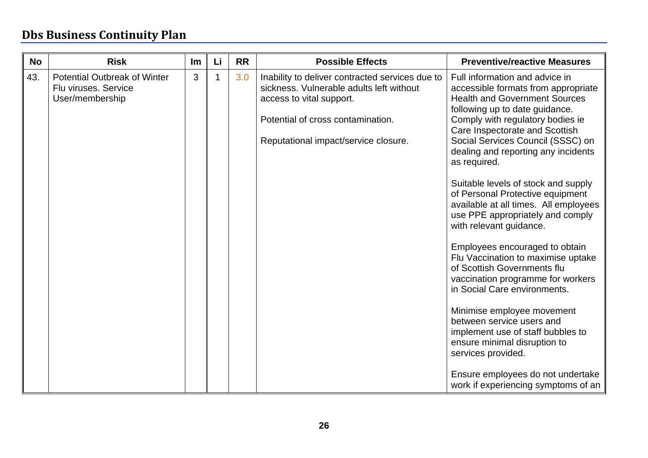| <b>No</b> | <b>Risk</b>                                                                    | Im | Li | <b>RR</b> | <b>Possible Effects</b>                                                                                                                                                                              | <b>Preventive/reactive Measures</b>                                                                                                                                                                                                                                                                                                                                                                                                                                                                                                                                                                                                                                                                                                                                                                                                                                                                                |
|-----------|--------------------------------------------------------------------------------|----|----|-----------|------------------------------------------------------------------------------------------------------------------------------------------------------------------------------------------------------|--------------------------------------------------------------------------------------------------------------------------------------------------------------------------------------------------------------------------------------------------------------------------------------------------------------------------------------------------------------------------------------------------------------------------------------------------------------------------------------------------------------------------------------------------------------------------------------------------------------------------------------------------------------------------------------------------------------------------------------------------------------------------------------------------------------------------------------------------------------------------------------------------------------------|
| 43.       | <b>Potential Outbreak of Winter</b><br>Flu viruses. Service<br>User/membership | 3  |    | 3.0       | Inability to deliver contracted services due to<br>sickness. Vulnerable adults left without<br>access to vital support.<br>Potential of cross contamination.<br>Reputational impact/service closure. | Full information and advice in<br>accessible formats from appropriate<br><b>Health and Government Sources</b><br>following up to date guidance.<br>Comply with regulatory bodies ie<br>Care Inspectorate and Scottish<br>Social Services Council (SSSC) on<br>dealing and reporting any incidents<br>as required.<br>Suitable levels of stock and supply<br>of Personal Protective equipment<br>available at all times. All employees<br>use PPE appropriately and comply<br>with relevant guidance.<br>Employees encouraged to obtain<br>Flu Vaccination to maximise uptake<br>of Scottish Governments flu<br>vaccination programme for workers<br>in Social Care environments.<br>Minimise employee movement<br>between service users and<br>implement use of staff bubbles to<br>ensure minimal disruption to<br>services provided.<br>Ensure employees do not undertake<br>work if experiencing symptoms of an |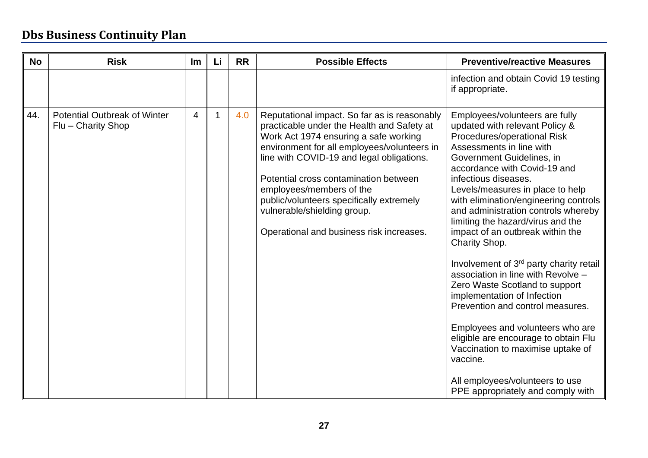| <b>No</b> | <b>Risk</b>                                               | Im             | Li          | <b>RR</b> | <b>Possible Effects</b>                                                                                                                                                                                                                                                                                                                                                                                                     | <b>Preventive/reactive Measures</b>                                                                                                                                                                                                                                                                                                                                                                                                                                                                                                                                                                                                                                                                                                                                                                                       |
|-----------|-----------------------------------------------------------|----------------|-------------|-----------|-----------------------------------------------------------------------------------------------------------------------------------------------------------------------------------------------------------------------------------------------------------------------------------------------------------------------------------------------------------------------------------------------------------------------------|---------------------------------------------------------------------------------------------------------------------------------------------------------------------------------------------------------------------------------------------------------------------------------------------------------------------------------------------------------------------------------------------------------------------------------------------------------------------------------------------------------------------------------------------------------------------------------------------------------------------------------------------------------------------------------------------------------------------------------------------------------------------------------------------------------------------------|
|           |                                                           |                |             |           |                                                                                                                                                                                                                                                                                                                                                                                                                             | infection and obtain Covid 19 testing<br>if appropriate.                                                                                                                                                                                                                                                                                                                                                                                                                                                                                                                                                                                                                                                                                                                                                                  |
| 44.       | <b>Potential Outbreak of Winter</b><br>Flu - Charity Shop | $\overline{4}$ | $\mathbf 1$ | 4.0       | Reputational impact. So far as is reasonably<br>practicable under the Health and Safety at<br>Work Act 1974 ensuring a safe working<br>environment for all employees/volunteers in<br>line with COVID-19 and legal obligations.<br>Potential cross contamination between<br>employees/members of the<br>public/volunteers specifically extremely<br>vulnerable/shielding group.<br>Operational and business risk increases. | Employees/volunteers are fully<br>updated with relevant Policy &<br>Procedures/operational Risk<br>Assessments in line with<br>Government Guidelines, in<br>accordance with Covid-19 and<br>infectious diseases.<br>Levels/measures in place to help<br>with elimination/engineering controls<br>and administration controls whereby<br>limiting the hazard/virus and the<br>impact of an outbreak within the<br>Charity Shop.<br>Involvement of 3rd party charity retail<br>association in line with Revolve -<br>Zero Waste Scotland to support<br>implementation of Infection<br>Prevention and control measures.<br>Employees and volunteers who are<br>eligible are encourage to obtain Flu<br>Vaccination to maximise uptake of<br>vaccine.<br>All employees/volunteers to use<br>PPE appropriately and comply with |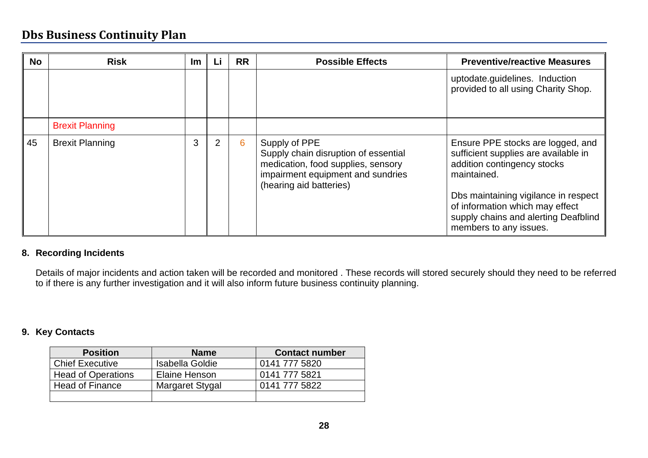| <b>No</b> | <b>Risk</b>            | Im | LI | <b>RR</b> | <b>Possible Effects</b>                                                                                                                                     | <b>Preventive/reactive Measures</b>                                                                                                                                                                                                                                  |
|-----------|------------------------|----|----|-----------|-------------------------------------------------------------------------------------------------------------------------------------------------------------|----------------------------------------------------------------------------------------------------------------------------------------------------------------------------------------------------------------------------------------------------------------------|
|           |                        |    |    |           |                                                                                                                                                             | uptodate.guidelines. Induction<br>provided to all using Charity Shop.                                                                                                                                                                                                |
|           | <b>Brexit Planning</b> |    |    |           |                                                                                                                                                             |                                                                                                                                                                                                                                                                      |
| 45        | <b>Brexit Planning</b> | 3  | 2  | 6         | Supply of PPE<br>Supply chain disruption of essential<br>medication, food supplies, sensory<br>impairment equipment and sundries<br>(hearing aid batteries) | Ensure PPE stocks are logged, and<br>sufficient supplies are available in<br>addition contingency stocks<br>maintained.<br>Dbs maintaining vigilance in respect<br>of information which may effect<br>supply chains and alerting Deafblind<br>members to any issues. |

#### **8. Recording Incidents**

Details of major incidents and action taken will be recorded and monitored . These records will stored securely should they need to be referred to if there is any further investigation and it will also inform future business continuity planning.

#### **9. Key Contacts**

| <b>Position</b>           | <b>Name</b>            | <b>Contact number</b> |
|---------------------------|------------------------|-----------------------|
| <b>Chief Executive</b>    | <b>Isabella Goldie</b> | 0141 777 5820         |
| <b>Head of Operations</b> | Elaine Henson          | 0141 777 5821         |
| <b>Head of Finance</b>    | Margaret Stygal        | 0141 777 5822         |
|                           |                        |                       |